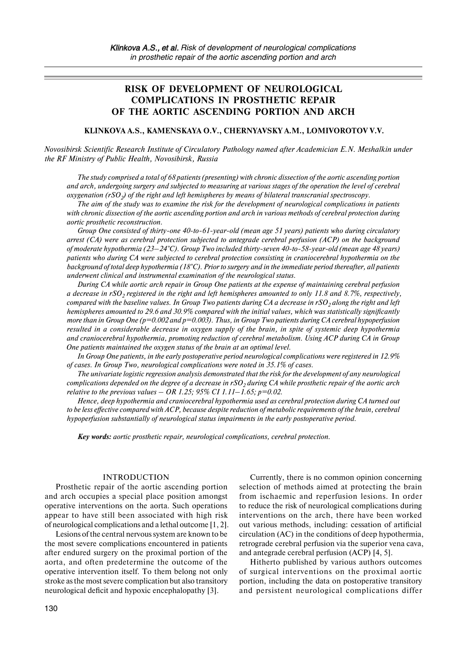# **RISK OF DEVELOPMENT OF NEUROLOGICAL COMPLICATIONS IN PROSTHETIC REPAIR OF THE AORTIC ASCENDING PORTION AND ARCH**

#### **KLINKOVA A.S., KAMENSKAYA O.V., CHERNYAVSKY A.M., LOMIVOROTOV V.V.**

*Novosibirsk Scientific Research Institute of Circulatory Pathology named after Academician E.N. Meshalkin under the RF Ministry of Public Health, Novosibirsk, Russia*

*The study comprised a total of 68 patients (presenting) with chronic dissection of the aortic ascending portion and arch, undergoing surgery and subjected to measuring at various stages of the operation the level of cerebral oxygenation (rSO2) of the right and left hemispheres by means of bilateral transcranial spectroscopy.*

*The aim of the study was to examine the risk for the development of neurological complications in patients with chronic dissection of the aortic ascending portion and arch in various methods of cerebral protection during aortic prosthetic reconstruction.*

*Group One consisted of thirty-one 40-to-61-year-old (mean age 51 years) patients who during circulatory arrest (CA) were as cerebral protection subjected to antegrade cerebral perfusion (ACP) on the background of moderate hypothermia (23–24°C). Group Two included thirty-seven 40-to-58-year-old (mean age 48 years) patients who during CA were subjected to cerebral protection consisting in craniocerebral hypothermia on the background of total deep hypothermia (18°C). Prior to surgery and in the immediate period thereafter, all patients underwent clinical and instrumental examination of the neurological status.*

*During CA while aortic arch repair in Group One patients at the expense of maintaining cerebral perfusion a decrease in rSO2 registered in the right and left hemispheres amounted to only 11.8 and 8.7%, respectively, compared with the baseline values. In Group Two patients during CA a decrease in*  $rSO_2$  *along the right and left hemispheres amounted to 29.6 and 30.9% compared with the initial values, which was statistically significantly more than in Group One (p=0.002 and p=0.003). Thus, in Group Two patients during CA cerebral hypoperfusion resulted in a considerable decrease in oxygen supply of the brain, in spite of systemic deep hypothermia and craniocerebral hypothermia, promoting reduction of cerebral metabolism. Using ACP during CA in Group One patients maintained the oxygen status of the brain at an optimal level.*

*In Group One patients, in the early postoperative period neurological complications were registered in 12.9% of cases. In Group Two, neurological complications were noted in 35.1% of cases.*

*The univariate logistic regression analysis demonstrated that the risk for the development of any neurological complications depended on the degree of a decrease in*  $rSO<sub>2</sub>$  *during CA while prosthetic repair of the aortic arch relative to the previous values – OR 1.25; 95% CI 1.11–1.65; p=0.02.*

*Hence, deep hypothermia and craniocerebral hypothermia used as cerebral protection during CA turned out to be less effective compared with ACP, because despite reduction of metabolic requirements of the brain, cerebral hypoperfusion substantially of neurological status impairments in the early postoperative period.*

*Key words: aortic prosthetic repair, neurological complications, cerebral protection.*

#### INTRODUCTION

Prosthetic repair of the aortic ascending portion and arch occupies a special place position amongst operative interventions on the aorta. Such operations appear to have still been associated with high risk of neurological complications and a lethal outcome [1, 2].

Lesions of the central nervous system are known to be the most severe complications encountered in patients after endured surgery on the proximal portion of the aorta, and often predetermine the outcome of the operative intervention itself. To them belong not only stroke as the most severe complication but also transitory neurological deficit and hypoxic encephalopathy [3].

Currently, there is no common opinion concerning selection of methods aimed at protecting the brain from ischaemic and reperfusion lesions. In order to reduce the risk of neurological complications during interventions on the arch, there have been worked out various methods, including: cessation of artificial circulation (AC) in the conditions of deep hypothermia, retrograde cerebral perfusion via the superior vena cava, and antegrade cerebral perfusion (ACP) [4, 5].

Hitherto published by various authors outcomes of surgical interventions on the proximal aortic portion, including the data on postoperative transitory and persistent neurological complications differ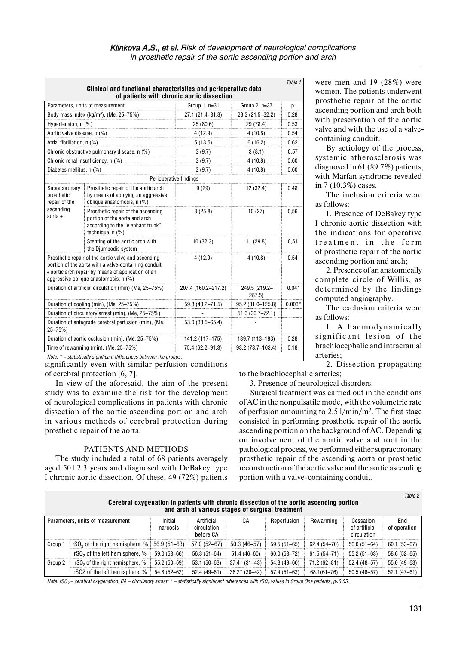|                                                                      | Clinical and functional characteristics and perioperative data<br>of patients with chronic aortic dissection                                                                                               |                        |                        | Table 1 |
|----------------------------------------------------------------------|------------------------------------------------------------------------------------------------------------------------------------------------------------------------------------------------------------|------------------------|------------------------|---------|
|                                                                      | Parameters, units of measurement                                                                                                                                                                           | Group 1, n=31          | Group 2, n=37          | p       |
| Body mass index (kg/m <sup>2</sup> ), (Me, 25-75%)                   |                                                                                                                                                                                                            | 27.1 (21.4-31.8)       | 28.3 (21.5-32.2)       | 0.28    |
| Hypertension, n (%)                                                  |                                                                                                                                                                                                            | 25 (80.6)              | 29 (78.4)              | 0.53    |
| Aortic valve disease, n (%)                                          |                                                                                                                                                                                                            | 4 (12.9)               | 4(10.8)                | 0.54    |
| Atrial fibrillation, n (%)                                           |                                                                                                                                                                                                            | 5(13.5)                | 6(16.2)                | 0.62    |
|                                                                      | Chronic obstructive pulmonary disease, n (%)                                                                                                                                                               | 3(9.7)                 | 3(8.1)                 | 0.57    |
| Chronic renal insufficiency, n (%)                                   |                                                                                                                                                                                                            | 3(9.7)                 | 4(10.8)                | 0.60    |
| Diabetes mellitus, n (%)                                             |                                                                                                                                                                                                            | 3(9.7)                 | 4(10.8)                | 0.60    |
|                                                                      |                                                                                                                                                                                                            | Perioperative findings |                        |         |
| Supracoronary<br>prosthetic<br>repair of the<br>ascending<br>aorta + | Prosthetic repair of the aortic arch<br>by means of applying an aggressive<br>oblique anastomosis, n (%)                                                                                                   | 9(29)                  | 12 (32.4)              | 0,48    |
|                                                                      | Prosthetic repair of the ascending<br>portion of the aorta and arch<br>according to the "elephant trunk"<br>technique, $n$ $(\%)$                                                                          | 8(25.8)                | 10(27)                 | 0,56    |
|                                                                      | Stenting of the aortic arch with<br>the Djumbodis system                                                                                                                                                   | 10(32.3)               | 11 (29.8)              | 0,51    |
|                                                                      | Prosthetic repair of the aortic valve and ascending<br>portion of the aorta with a valve-containing conduit<br>+ aortic arch repair by means of application of an<br>aggressive oblique anastomosis, n (%) | 4(12.9)                | 4(10.8)                | 0.54    |
| Duration of artificial circulation (min) (Me, 25-75%)                |                                                                                                                                                                                                            | 207.4 (160.2-217.2)    | 249.5 (219.2-<br>287.5 | $0.04*$ |
| Duration of cooling (min), (Me, 25-75%)                              |                                                                                                                                                                                                            | 59.8 (48.2–71.5)       | 95.2 (81.0-125.8)      | 0.003'  |
| Duration of circulatory arrest (min), (Me, 25-75%)                   |                                                                                                                                                                                                            |                        | $51.3(36.7 - 72.1)$    |         |
| $25 - 75%$                                                           | Duration of antegrade cerebral perfusion (min), (Me,                                                                                                                                                       | 53.0 (38.5-65.4)       |                        |         |
|                                                                      | Duration of aortic occlusion (min), (Me, 25-75%)                                                                                                                                                           | 141.2 (117-175)        | 139.7 (113-183)        | 0.28    |
| Time of rewarming (min), (Me, 25-75%)                                |                                                                                                                                                                                                            | 75.4 (62.2-91.3)       | 93.2 (73.7-103.4)      | 0.18    |
|                                                                      | Note: * - statistically significant differences between the groups.                                                                                                                                        |                        |                        |         |

significantly even with similar perfusion conditions of cerebral protection [6, 7].

In view of the aforesaid, the aim of the present study was to examine the risk for the development of neurological complications in patients with chronic dissection of the aortic ascending portion and arch in various methods of cerebral protection during prosthetic repair of the aorta.

## PATIENTS AND METHODS

The study included a total of 68 patients averagely aged 50±2.3 years and diagnosed with DeBakey type I chronic aortic dissection. Of these, 49 (72%) patients were men and 19 (28%) were women. The patients underwent prosthetic repair of the aortic ascending portion and arch both with preservation of the aortic valve and with the use of a valvecontaining conduit.

By aetiology of the process, systemic atherosclerosis was diagnosed in 61 (89.7%) patients, with Marfan syndrome revealed in 7 (10.3%) cases.

The inclusion criteria were as follows:

1. Presence of DeBakey type I chronic aortic dissection with the indications for operative treatment in the form of prosthetic repair of the aortic ascending portion and arch;

2. Presence of an anatomically complete circle of Willis, as determined by the findings computed angiography.

The exclusion criteria were as follows:

1. A haemodynamically significant lesion of the brachiocephalic and intracranial arteries;

2. Dissection propagating to the brachiocephalic arteries;

3. Presence of neurological disorders.

Surgical treatment was carried out in the conditions of AC in the nonpulsatile mode, with the volumetric rate of perfusion amounting to 2.5 l/min/m2. The first stage consisted in performing prosthetic repair of the aortic ascending portion on the background of AC. Depending on involvement of the aortic valve and root in the pathological process, we performed either supracoronary prosthetic repair of the ascending aorta or prosthetic reconstruction of the aortic valve and the aortic ascending portion with a valve-containing conduit.

| Table 2<br>Cerebral oxygenation in patients with chronic dissection of the aortic ascending portion<br>and arch at various stages of surgical treatment |                                                                                                                                                                        |                     |                                        |                 |                 |                 |                                           |                     |
|---------------------------------------------------------------------------------------------------------------------------------------------------------|------------------------------------------------------------------------------------------------------------------------------------------------------------------------|---------------------|----------------------------------------|-----------------|-----------------|-----------------|-------------------------------------------|---------------------|
|                                                                                                                                                         | Parameters, units of measurement                                                                                                                                       | Initial<br>narcosis | Artificial<br>circulation<br>before CA | CA              | Reperfusion     | Rewarming       | Cessation<br>of artificial<br>circulation | End<br>of operation |
| Group 1                                                                                                                                                 | rSO <sub>2</sub> of the right hemisphere, $%$                                                                                                                          | 56.9 (51-63)        | 57.0 (52-67)                           | $50.3(46 - 57)$ | $59.5(51 - 65)$ | $62.4(54 - 70)$ | $56.0(51 - 64)$                           | $60.1(53 - 67)$     |
|                                                                                                                                                         | rSO <sub>2</sub> of the left hemisphere, %                                                                                                                             | 59.0 (53-66)        | $56.3(51-64)$                          | 51.4 (46-60)    | $60.0(53 - 72)$ | $61.5(54 - 71)$ | $55.2(51-63)$                             | $58.6(52 - 65)$     |
| Group 2                                                                                                                                                 | rSO <sub>2</sub> of the right hemisphere, %                                                                                                                            | 55.2 (50-59)        | $53.1(50-63)$                          | $37.4*$ (31-43) | 54.8 (49-60)    | 71.2 (62-81)    | 52.4 (48-57)                              | 55.0 (49-63)        |
|                                                                                                                                                         | rSO2 of the left hemisphere, %                                                                                                                                         | 54.8 (52-62)        | $52.4(49-61)$                          | $36.2* (30-42)$ | $57.4(51-63)$   | $68.1(61 - 76)$ | $50.5(46 - 57)$                           | 52.1 (47-61)        |
|                                                                                                                                                         | Note: $rSO_2$ – cerebral oxygenation; CA – circulatory arrest; $*$ – statistically significant differences with rSO <sub>2</sub> values in Group One patients, p<0.05. |                     |                                        |                 |                 |                 |                                           |                     |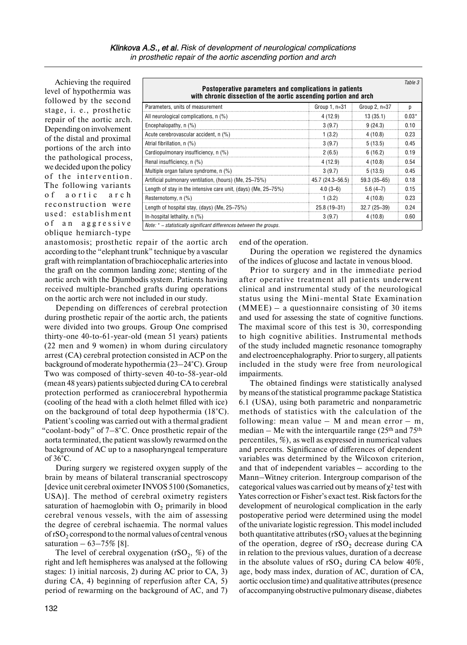Achieving the required level of hypothermia was followed by the second stage, i. e., prosthetic repair of the aortic arch. Depending on involvement of the distal and proximal portions of the arch into the pathological process, we decided upon the policy of the intervention. The following variants of a ortic arch reconstruction were used: establishment of an aggressive oblique hemiarch-type

| Postoperative parameters and complications in patients<br>with chronic dissection of the aortic ascending portion and arch |                  |               | Table 3 |
|----------------------------------------------------------------------------------------------------------------------------|------------------|---------------|---------|
| Parameters, units of measurement                                                                                           | Group 1, n=31    | Group 2, n=37 | n       |
| All neurological complications, n (%)                                                                                      | 4 (12.9)         | 13(35.1)      | $0.03*$ |
| Encephalopathy, n (%)                                                                                                      | 3(9.7)           | 9(24.3)       | 0.10    |
| Acute cerebrovascular accident, n (%)                                                                                      | 1(3.2)           | 4(10.8)       | 0.23    |
| Atrial fibrillation, n (%)                                                                                                 | 3(9.7)           | 5(13.5)       | 0.45    |
| Cardiopulmonary insufficiency, n (%)                                                                                       | 2(6.5)           | 6(16.2)       | 0.19    |
| Renal insufficiency, n (%)                                                                                                 | 4 (12.9)         | 4(10.8)       | 0.54    |
| Multiple organ failure syndrome, n (%)                                                                                     | 3(9.7)           | 5(13.5)       | 0.45    |
| Artificial pulmonary ventilation, (hours) (Me, 25-75%)                                                                     | 45.7 (24.3-56.5) | 59.3 (35-65)  | 0.18    |
| Length of stay in the intensive care unit, (days) (Me, 25–75%)                                                             | $4.0(3-6)$       | $5.6(4-7)$    | 0.15    |
| Resternotomy, n (%)                                                                                                        | 1(3.2)           | 4(10.8)       | 0.23    |
| Length of hospital stay, (days) (Me, 25–75%)                                                                               | 25.8 (19-31)     | $32.7(25-39)$ | 0.24    |
| In-hospital lethality, n (%)                                                                                               | 3(9.7)           | 4(10.8)       | 0.60    |

anastomosis; prosthetic repair of the aortic arch according to the "elephant trunk" technique by a vascular graft with reimplantation of brachiocephalic arteries into the graft on the common landing zone; stenting of the aortic arch with the Djumbodis system. Patients having received multiple-branched grafts during operations on the aortic arch were not included in our study.

Depending on differences of cerebral protection during prosthetic repair of the aortic arch, the patients were divided into two groups. Group One comprised thirty-one 40-to-61-year-old (mean 51 years) patients (22 men and 9 women) in whom during circulatory arrest (CA) cerebral protection consisted in ACP on the background of moderate hypothermia (23–24°C). Group Two was composed of thirty-seven 40-to-58-year-old (mean 48 years) patients subjected during CA to cerebral protection performed as craniocerebral hypothermia (cooling of the head with a cloth helmet filled with ice) on the background of total deep hypothermia (18°C). Patient's cooling was carried out with a thermal gradient "coolant-body" of 7–8°C. Once prosthetic repair of the aorta terminated, the patient was slowly rewarmed on the background of AC up to a nasopharyngeal temperature of  $36^{\circ}$ C.

During surgery we registered oxygen supply of the brain by means of bilateral transcranial spectroscopy [device unit cerebral oximeter INVOS 5100 (Somanetics, USA)]. The method of cerebral oximetry registers saturation of haemoglobin with  $O_2$  primarily in blood cerebral venous vessels, with the aim of assessing the degree of cerebral ischaemia. The normal values of  $rSO<sub>2</sub>$  correspond to the normal values of central venous saturation  $-63 - 75\%$  [8].

The level of cerebral oxygenation (rSO<sub>2</sub>,  $\%$ ) of the right and left hemispheres was analysed at the following stages: 1) initial narcosis, 2) during AC prior to CA, 3) during CA, 4) beginning of reperfusion after CA, 5) period of rewarming on the background of AC, and 7)

end of the operation.

During the operation we registered the dynamics of the indices of glucose and lactate in venous blood.

Prior to surgery and in the immediate period after operative treatment all patients underwent clinical and instrumental study of the neurological status using the Mini-mental State Examination  $(MMEE)$  – a questionnaire consisting of 30 items and used for assessing the state of cognitive functions. The maximal score of this test is 30, corresponding to high cognitive abilities. Instrumental methods of the study included magnetic resonance tomography and electroencephalography. Prior to surgery, all patients included in the study were free from neurological impairments.

The obtained findings were statistically analysed by means of the statistical programme package Statistica 6.1 (USA), using both parametric and nonparametric methods of statistics with the calculation of the following: mean value  $-$  M and mean error  $-$  m, median – Me with the interquartile range  $(25<sup>th</sup>$  and  $75<sup>th</sup>$ percentiles, %), as well as expressed in numerical values and percents. Significance of differences of dependent variables was determined by the Wilcoxon criterion, and that of independent variables – according to the Mann–Witney criterion. Intergroup comparison of the categorical values was carried out by means of  $\chi^2$  test with Yates correction or Fisher's exact test. Risk factors forthe development of neurological complication in the early postoperative period were determined using the model of the univariate logistic regression. This model included both quantitative attributes (rSO<sub>2</sub> values at the beginning of the operation, degree of  $rSO<sub>2</sub>$  decrease during CA in relation to the previous values, duration of a decrease in the absolute values of  $rSO<sub>2</sub>$  during CA below 40%, age, body mass index, duration of AC, duration of CA, aortic occlusion time) and qualitative attributes (presence of accompanying obstructive pulmonary disease, diabetes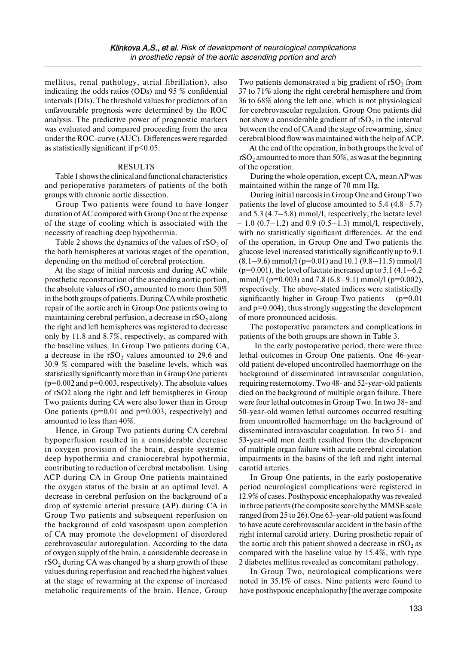mellitus, renal pathology, atrial fibrillation), also indicating the odds ratios (ODs) and 95 % confidential intervals (DIs). The threshold values for predictors of an unfavourable prognosis were determined by the ROC analysis. The predictive power of prognostic markers was evaluated and compared proceeding from the area under the ROC-curve (AUC). Differences were regarded as statistically significant if  $p<0.05$ .

## RESULTS

Table 1 shows the clinical and functional characteristics and perioperative parameters of patients of the both groups with chronic aortic dissection.

Group Two patients were found to have longer duration of AC compared with Group One at the expense of the stage of cooling which is associated with the necessity of reaching deep hypothermia.

Table 2 shows the dynamics of the values of  $rSO<sub>2</sub>$  of the both hemispheres at various stages of the operation, depending on the method of cerebral protection.

At the stage of initial narcosis and during AC while prosthetic reconstruction of the ascending aortic portion, the absolute values of  $rSO_2$  amounted to more than 50% in the both groups of patients. During CA while prosthetic repair of the aortic arch in Group One patients owing to maintaining cerebral perfusion, a decrease in  $rSO<sub>2</sub>$  along the right and left hemispheres was registered to decrease only by 11.8 and 8.7%, respectively, as compared with the baseline values. In Group Two patients during CA, a decrease in the  $rSO<sub>2</sub>$  values amounted to 29.6 and 30.9 % compared with the baseline levels, which was statistically significantly more than in Group One patients  $(p=0.002$  and  $p=0.003$ , respectively). The absolute values of rSO2 along the right and left hemispheres in Group Two patients during CA were also lower than in Group One patients  $(p=0.01$  and  $p=0.003$ , respectively) and amounted to less than 40%.

Hence, in Group Two patients during CA cerebral hypoperfusion resulted in a considerable decrease in oxygen provision of the brain, despite systemic deep hypothermia and craniocerebral hypothermia, contributing to reduction of cerebral metabolism. Using ACP during CA in Group One patients maintained the oxygen status of the brain at an optimal level. A decrease in cerebral perfusion on the background of a drop of systemic arterial pressure (AP) during CA in Group Two patients and subsequent reperfusion on the background of cold vasospasm upon completion of CA may promote the development of disordered cerebrovascular autoregulation. According to the data of oxygen supply of the brain, a considerable decrease in  $rSO<sub>2</sub>$  during CA was changed by a sharp growth of these values during reperfusion and reached the highest values at the stage of rewarming at the expense of increased metabolic requirements of the brain. Hence, Group

Two patients demonstrated a big gradient of  $rSO<sub>2</sub>$  from 37 to 71% along the right cerebral hemisphere and from 36 to 68% along the left one, which is not physiological for cerebrovascular regulation. Group One patients did not show a considerable gradient of  $rSO<sub>2</sub>$  in the interval between the end of CA and the stage of rewarming, since cerebral blood flow was maintained with the help of ACP.

At the end of the operation, in both groups the level of  $rSO<sub>2</sub>$  amounted to more than 50%, as was at the beginning of the operation.

During the whole operation, except CA, mean AP was maintained within the range of 70 mm Hg.

During initial narcosis in Group One and Group Two patients the level of glucose amounted to 5.4 (4.8–5.7) and 5.3 (4.7–5.8) mmol/l, respectively, the lactate level  $-1.0$  (0.7–1.2) and 0.9 (0.5–1.3) mmol/l, respectively. with no statistically significant differences. At the end of the operation, in Group One and Two patients the glucose level increased statistically significantly up to 9.1  $(8.1–9.6)$  mmol/l (p=0.01) and 10.1 (9.8–11.5) mmol/l  $(p=0.001)$ , the level of lactate increased up to 5.1 (4.1–6.2) mmol/l ( $p=0.003$ ) and 7.8 (6.8–9.1) mmol/l ( $p=0.002$ ), respectively. The above-stated indices were statistically significantly higher in Group Two patients  $-$  (p=0.01) and  $p=0.004$ ), thus strongly suggesting the development of more pronounced acidosis.

The postoperative parameters and complications in patients of the both groups are shown in Table 3.

 In the early postoperative period, there were three lethal outcomes in Group One patients. One 46-yearold patient developed uncontrolled haemorrhage on the background of disseminated intravascular coagulation, requiring resternotomy. Two 48- and 52-year-old patients died on the background of multiple organ failure. There were four lethal outcomes in Group Two. In two 38- and 50-year-old women lethal outcomes occurred resulting from uncontrolled haemorrhage on the background of disseminated intravascular coagulation. In two 51- and 53-year-old men death resulted from the development of multiple organ failure with acute cerebral circulation impairments in the basins of the left and right internal carotid arteries.

In Group One patients, in the early postoperative period neurological complications were registered in 12.9% of cases. Posthypoxic encephalopathy was revealed in three patients (the composite score by the MMSE scale ranged from 25 to 26).One 63-year-old patient was found to have acute cerebrovascular accident in the basin of the right internal carotid artery. During prosthetic repair of the aortic arch this patient showed a decrease in  $rSO<sub>2</sub>$  as compared with the baseline value by 15.4%, with type 2 diabetes mellitus revealed as concomitant pathology.

In Group Two, neurological complications were noted in 35.1% of cases. Nine patients were found to have posthypoxic encephalopathy [the average composite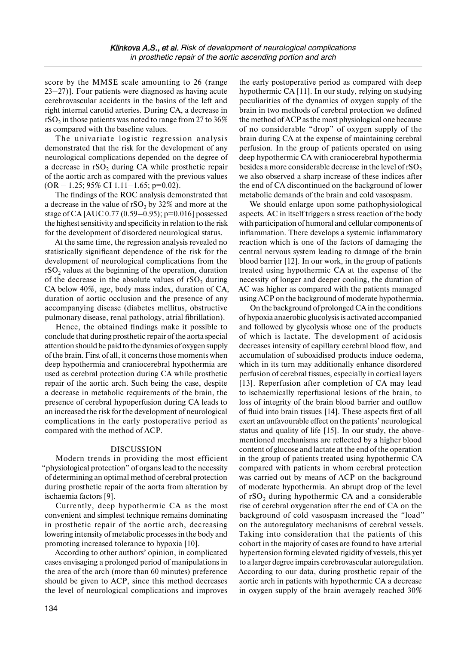score by the MMSE scale amounting to 26 (range 23–27)]. Four patients were diagnosed as having acute cerebrovascular accidents in the basins of the left and right internal carotid arteries. During CA, a decrease in  $rSO<sub>2</sub>$  in those patients was noted to range from 27 to 36% as compared with the baseline values.

The univariate logistic regression analysis demonstrated that the risk for the development of any neurological complications depended on the degree of a decrease in  $rSO<sub>2</sub>$  during CA while prosthetic repair of the aortic arch as compared with the previous values  $(OR - 1.25; 95\% \text{ CI } 1.11 - 1.65; p=0.02).$ 

The findings of the ROC analysis demonstrated that a decrease in the value of  $rSO<sub>2</sub>$  by 32% and more at the stage of CA [AUC 0.77 (0.59–0.95); p=0.016] possessed the highest sensitivity and specificity in relation to the risk for the development of disordered neurological status.

At the same time, the regression analysis revealed no statistically significant dependence of the risk for the development of neurological complications from the  $rSO<sub>2</sub>$  values at the beginning of the operation, duration of the decrease in the absolute values of  $rSO<sub>2</sub>$  during CA below 40%, age, body mass index, duration of CA, duration of aortic occlusion and the presence of any accompanying disease (diabetes mellitus, obstructive pulmonary disease, renal pathology, atrial fibrillation).

Hence, the obtained findings make it possible to conclude that during prosthetic repair of the aorta special attention should be paid to the dynamics of oxygen supply of the brain. First of all, it concerns those moments when deep hypothermia and craniocerebral hypothermia are used as cerebral protection during CA while prosthetic repair of the aortic arch. Such being the case, despite a decrease in metabolic requirements of the brain, the presence of cerebral hypoperfusion during CA leads to an increased the risk for the development of neurological complications in the early postoperative period as compared with the method of ACP.

## DISCUSSION

Modern trends in providing the most efficient "physiological protection" of organs lead to the necessity of determining an optimal method of cerebral protection during prosthetic repair of the aorta from alteration by ischaemia factors [9].

Currently, deep hypothermic CA as the most convenient and simplest technique remains dominating in prosthetic repair of the aortic arch, decreasing lowering intensity of metabolic processes in the body and promoting increased tolerance to hypoxia [10].

According to other authors' opinion, in complicated cases envisaging a prolonged period of manipulations in the area of the arch (more than 60 minutes) preference should be given to ACP, since this method decreases the level of neurological complications and improves the early postoperative period as compared with deep hypothermic CA [11]. In our study, relying on studying peculiarities of the dynamics of oxygen supply of the brain in two methods of cerebral protection we defined the method of ACP as the most physiological one because of no considerable "drop" of oxygen supply of the brain during CA at the expense of maintaining cerebral perfusion. In the group of patients operated on using deep hypothermic CA with craniocerebral hypothermia besides a more considerable decrease in the level of  $rSO<sub>2</sub>$ we also observed a sharp increase of these indices after the end of CA discontinued on the background of lower metabolic demands of the brain and cold vasospasm.

We should enlarge upon some pathophysiological aspects. AC in itself triggers a stress reaction of the body with participation of humoral and cellular components of inflammation. There develops a systemic inflammatory reaction which is one of the factors of damaging the central nervous system leading to damage of the brain blood barrier [12]. In our work, in the group of patients treated using hypothermic CA at the expense of the necessity of longer and deeper cooling, the duration of AC was higher as compared with the patients managed using ACP on the background of moderate hypothermia.

On the background of prolonged CA in the conditions of hypoxia anaerobic glucolysis is activated accompanied and followed by glycolysis whose one of the products of which is lactate. The development of acidosis decreases intensity of capillary cerebral blood flow, and accumulation of suboxidised products induce oedema, which in its turn may additionally enhance disordered perfusion of cerebral tissues, especially in cortical layers [13]. Reperfusion after completion of CA may lead to ischaemically reperfusional lesions of the brain, to loss of integrity of the brain blood barrier and outflow of fluid into brain tissues [14]. These aspects first of all exert an unfavourable effect on the patients' neurological status and quality of life [15]. In our study, the abovementioned mechanisms are reflected by a higher blood content of glucose and lactate at the end of the operation in the group of patients treated using hypothermic CA compared with patients in whom cerebral protection was carried out by means of ACP on the background of moderate hypothermia. An abrupt drop of the level of  $rSO<sub>2</sub>$  during hypothermic CA and a considerable rise of cerebral oxygenation after the end of CA on the background of cold vasospasm increased the "load" on the autoregulatory mechanisms of cerebral vessels. Taking into consideration that the patients of this cohort in the majority of cases are found to have arterial hypertension forming elevated rigidity of vessels, this yet to a larger degree impairs cerebrovascular autoregulation. According to our data, during prosthetic repair of the aortic arch in patients with hypothermic CA a decrease in oxygen supply of the brain averagely reached 30%